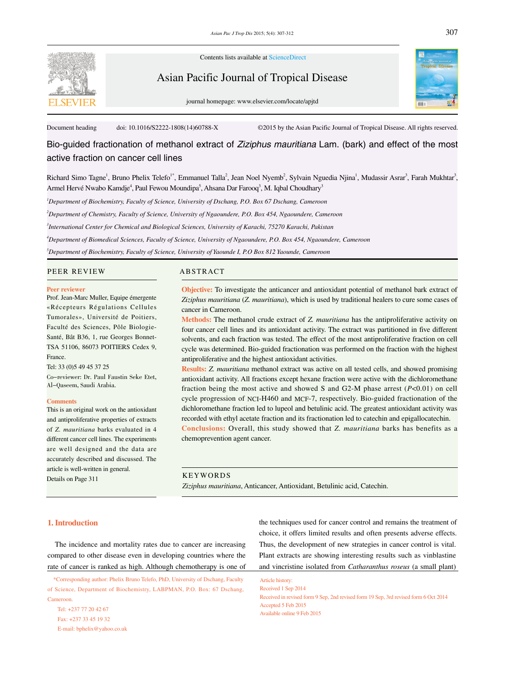

Contents lists available at ScienceDirect

# Asian Pacific Journal of Tropical Disease

journal homepage: www.elsevier.com/locate/apjtd



Document heading doi: 10.1016/S2222-1808(14)60788-X ©2015 by the Asian Pacific Journal of Tropical Disease. All rights reserved.

Bio-guided fractionation of methanol extract of *Ziziphus mauritiana* Lam. (bark) and effect of the most active fraction on cancer cell lines

Richard Simo Tagne<sup>1</sup>, Bruno Phelix Telefo<sup>1\*</sup>, Emmanuel Talla<sup>2</sup>, Jean Noel Nyemb<sup>2</sup>, Sylvain Nguedia Njina<sup>1</sup>, Mudassir Asrar<sup>3</sup>, Farah Mukhtar<sup>3</sup>, Armel Hervé Nwabo Kamdje<sup>4</sup>, Paul Fewou Moundipa<sup>5</sup>, Ahsana Dar Farooq<sup>3</sup>, M. Iqbal Choudhary<sup>3</sup>

*1 Department of Biochemistry, Faculty of Science, University of Dschang, P.O. Box 67 Dschang, Cameroon*

*2 Department of Chemistry, Faculty of Science, University of Ngaoundere, P.O. Box 454, Ngaoundere, Cameroon*

*3 International Center for Chemical and Biological Sciences, University of Karachi, 75270 Karachi, Pakistan*

*4 Department of Biomedical Sciences, Faculty of Science, University of Ngaoundere, P.O. Box 454, Ngaoundere, Cameroon* 

*5 Department of Biochemistry, Faculty of Science, University of Yaounde I, P.O Box 812 Yaounde, Cameroon*

# PEER REVIEW ABSTRACT

### **Peer reviewer**

Prof. Jean-Marc Muller, Equipe émergente «Récepteurs Régulations Cellules Tumorales», Université de Poitiers, Faculté des Sciences, Pôle Biologie-Santé, Bât B36, 1, rue Georges Bonnet-TSA 51106, 86073 POITIERS Cedex 9, France.

# Tel: 33 (0)5 49 45 37 25

Co-reviewer: Dr. Paul Faustin Seke Etet, Al-Qaseem, Saudi Arabia.

### **Comments**

This is an original work on the antioxidant and antiproliferative properties of extracts of *Z. mauritiana* barks evaluated in 4 different cancer cell lines. The experiments are well designed and the data are accurately described and discussed. The article is well-written in general. Details on Page 311

**Objective:** To investigate the anticancer and antioxidant potential of methanol bark extract of *Ziziphus mauritiana* (*Z. mauritiana*), which is used by traditional healers to cure some cases of cancer in Cameroon.

**Methods:** The methanol crude extract of *Z. mauritiana* has the antiproliferative activity on four cancer cell lines and its antioxidant activity. The extract was partitioned in five different solvents, and each fraction was tested. The effect of the most antiproliferative fraction on cell cycle was determined. Bio-guided fractionation was performed on the fraction with the highest antiproliferative and the highest antioxidant activities.

**Results:** *Z. mauritiana* methanol extract was active on all tested cells, and showed promising antioxidant activity. All fractions except hexane fraction were active with the dichloromethane fraction being the most active and showed S and G2-M phase arrest (*P*<0.01) on cell cycle progression of NCI-H460 and MCF-7, respectively. Bio-guided fractionation of the dichloromethane fraction led to lupeol and betulinic acid. The greatest antioxidant activity was recorded with ethyl acetate fraction and its fractionation led to catechin and epigallocatechin.

**Conclusions:** Overall, this study showed that *Z. mauritiana* barks has benefits as a chemoprevention agent cancer.

# KEYWORDS

*Ziziphus mauritiana*, Anticancer, Antioxidant, Betulinic acid, Catechin.

# **1. Introduction**

 The incidence and mortality rates due to cancer are increasing compared to other disease even in developing countries where the rate of cancer is ranked as high. Although chemotherapy is one of

 \*Corresponding author: Phelix Bruno Telefo, PhD, University of Dschang, Faculty of Science, Department of Biochemistry, LABPMAN, P.O. Box: 67 Dschang, Cameroon.

 Tel: +237 77 20 42 67 Fax: +237 33 45 19 32 E-mail: bphelix@yahoo.co.uk the techniques used for cancer control and remains the treatment of choice, it offers limited results and often presents adverse effects. Thus, the development of new strategies in cancer control is vital. Plant extracts are showing interesting results such as vinblastine and vincristine isolated from *Catharanthus roseus* (a small plant)

Article history: Received 1 Sep 2014 Received in revised form 9 Sep, 2nd revised form 19 Sep, 3rd revised form 6 Oct 2014 Accepted 5 Feb 2015 Available online 9 Feb 2015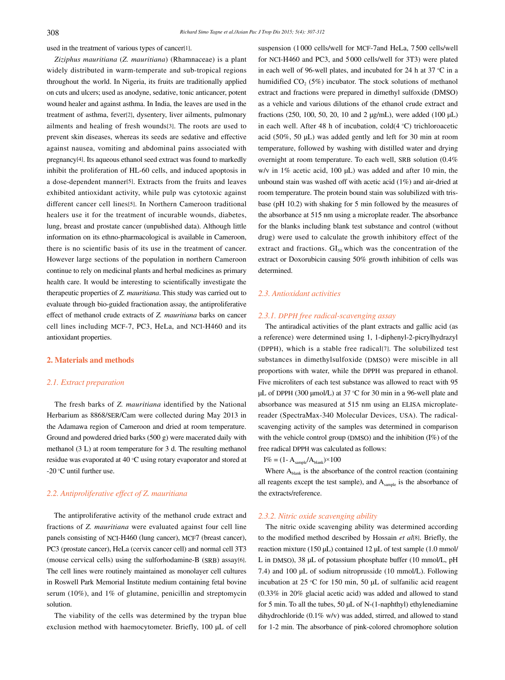used in the treatment of various types of cancer[1].

 *Ziziphus mauritiana* (*Z. mauritiana*) (Rhamnaceae) is a plant widely distributed in warm-temperate and sub-tropical regions throughout the world. In Nigeria, its fruits are traditionally applied on cuts and ulcers; used as anodyne, sedative, tonic anticancer, potent wound healer and against asthma. In India, the leaves are used in the treatment of asthma, fever[2], dysentery, liver ailments, pulmonary ailments and healing of fresh wounds[3]. The roots are used to prevent skin diseases, whereas its seeds are sedative and effective against nausea, vomiting and abdominal pains associated with pregnancy[4]. Its aqueous ethanol seed extract was found to markedly inhibit the proliferation of HL-60 cells, and induced apoptosis in a dose-dependent manner[5]. Extracts from the fruits and leaves exhibited antioxidant activity, while pulp was cytotoxic against different cancer cell lines[5]. In Northern Cameroon traditional healers use it for the treatment of incurable wounds, diabetes, lung, breast and prostate cancer (unpublished data). Although little information on its ethno-pharmacological is available in Cameroon, there is no scientific basis of its use in the treatment of cancer. However large sections of the population in northern Cameroon continue to rely on medicinal plants and herbal medicines as primary health care. It would be interesting to scientifically investigate the therapeutic properties of *Z. mauritiana*. This study was carried out to evaluate through bio-guided fractionation assay, the antiproliferative effect of methanol crude extracts of *Z. mauritiana* barks on cancer cell lines including MCF-7, PC3, HeLa, and NCI-H460 and its antioxidant properties.

# **2. Materials and methods**

# *2.1. Extract preparation*

 The fresh barks of *Z. mauritiana* identified by the National Herbarium as 8868/SER/Cam were collected during May 2013 in the Adamawa region of Cameroon and dried at room temperature. Ground and powdered dried barks (500 g) were macerated daily with methanol (3 L) at room temperature for 3 d. The resulting methanol residue was evaporated at 40°°C using rotary evaporator and stored at -20 °C until further use.

# *2.2. Antiproliferative effect of Z. mauritiana*

 The antiproliferative activity of the methanol crude extract and fractions of *Z. mauritiana* were evaluated against four cell line panels consisting of NCI-H460 (lung cancer), MCF7 (breast cancer), PC3 (prostate cancer), HeLa (cervix cancer cell) and normal cell 3T3 (mouse cervical cells) using the sulforhodamine-B (SRB) assay[6]. The cell lines were routinely maintained as monolayer cell cultures in Roswell Park Memorial Institute medium containing fetal bovine serum (10%), and 1% of glutamine, penicillin and streptomycin solution.

 The viability of the cells was determined by the trypan blue exclusion method with haemocytometer. Briefly, 100 µL of cell suspension (1 000 cells/well for MCF-7and HeLa, 7 500 cells/well for NCI-H460 and PC3, and 5000 cells/well for 3T3) were plated in each well of 96-well plates, and incubated for 24 h at 37 °C in a humidified  $CO<sub>2</sub> (5%)$  incubator. The stock solutions of methanol extract and fractions were prepared in dimethyl sulfoxide (DMSO) as a vehicle and various dilutions of the ethanol crude extract and fractions (250, 100, 50, 20, 10 and 2 µg/mL), were added (100 μL) in each well. After 48 h of incubation, cold(4°°C) trichloroacetic acid (50%, 50 μL) was added gently and left for 30 min at room temperature, followed by washing with distilled water and drying overnight at room temperature. To each well, SRB solution (0.4% w/v in 1% acetic acid, 100 μL) was added and after 10 min, the unbound stain was washed off with acetic acid (1%) and air-dried at room temperature. The protein bound stain was solubilized with trisbase (pH 10.2) with shaking for 5 min followed by the measures of the absorbance at 515 nm using a microplate reader. The absorbance for the blanks including blank test substance and control (without drug) were used to calculate the growth inhibitory effect of the extract and fractions.  $GI<sub>50</sub>$  which was the concentration of the extract or Doxorubicin causing 50% growth inhibition of cells was determined.

# *2.3. Antioxidant activities*

# *2.3.1. DPPH free radical-scavenging assay*

 The antiradical activities of the plant extracts and gallic acid (as a reference) were determined using 1, 1-diphenyl-2-picrylhydrazyl (DPPH), which is a stable free radical[7]. The solubilized test substances in dimethylsulfoxide (DMSO) were miscible in all proportions with water, while the DPPH was prepared in ethanol. Five microliters of each test substance was allowed to react with 95 µL of DPPH (300 µmol/L) at 37 °C for 30 min in a 96-well plate and absorbance was measured at 515 nm using an ELISA microplatereader (SpectraMax-340 Molecular Devices, USA). The radicalscavenging activity of the samples was determined in comparison with the vehicle control group (DMSO) and the inhibition (I%) of the free radical DPPH was calculated as follows:

 $I\% = (1 - A_{sample}/A_{blank}) \times 100$ 

Where  $A<sub>blank</sub>$  is the absorbance of the control reaction (containing all reagents except the test sample), and A<sub>sample</sub> is the absorbance of the extracts/reference.

# *2.3.2. Nitric oxide scavenging ability*

 The nitric oxide scavenging ability was determined according to the modified method described by Hossain *et al*[8]. Briefly, the reaction mixture (150 µL) contained 12 µL of test sample (1.0 mmol/ L in DMSO), 38 µL of potassium phosphate buffer (10 mmol/L, pH 7.4) and 100 µL of sodium nitroprusside (10 mmol/L). Following incubation at 25°°C for 150 min, 50 µL of sulfanilic acid reagent (0.33% in 20% glacial acetic acid) was added and allowed to stand for 5 min. To all the tubes,  $50 \mu L$  of N-(1-naphthyl) ethylenediamine dihydrochloride (0.1% w/v) was added, stirred, and allowed to stand for 1-2 min. The absorbance of pink-colored chromophore solution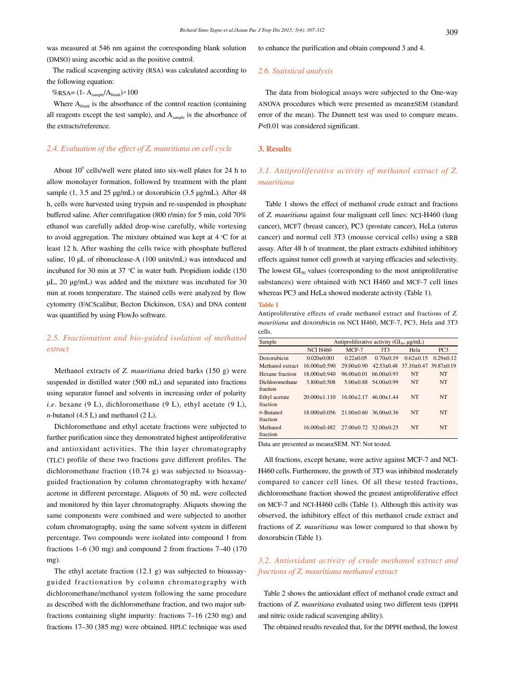was measured at 546 nm against the corresponding blank solution (DMSO) using ascorbic acid as the positive control.

 The radical scavenging activity (RSA) was calculated according to the following equation:

 $%$ RSA= (1- A<sub>sample</sub>/A<sub>blank</sub>)×100

Where  $A<sub>blank</sub>$  is the absorbance of the control reaction (containing all reagents except the test sample), and  $A_{sample}$  is the absorbance of the extracts/reference.

# *2.4. Evaluation of the effect of Z. mauritiana on cell cycle*

About  $10^6$  cells/well were plated into six-well plates for 24 h to allow monolayer formation, followed by treatment with the plant sample (1, 3.5 and 25 µg/mL) or doxorubicin (3.5 µg/mL). After 48 h, cells were harvested using trypsin and re-suspended in phosphate buffered saline. After centrifugation (800 r/min) for 5 min, cold 70% ethanol was carefully added drop-wise carefully, while vortexing to avoid aggregation. The mixture obtained was kept at 4 °C for at least 12 h. After washing the cells twice with phosphate buffered saline, 10 µL of ribonuclease-A (100 units/mL) was introduced and incubated for 30 min at 37 °C in water bath. Propidium iodide (150 µL, 20 µg/mL) was added and the mixture was incubated for 30 min at room temperature. The stained cells were analyzed by flow cytometry (FACScalibur, Becton Dickinson, USA) and DNA content was quantified by using FlowJo software.

# *2.5. Fractionation and bio-guided isolation of methanol extract*

 Methanol extracts of *Z. mauritiana* dried barks (150 g) were suspended in distilled water (500 mL) and separated into fractions using separator funnel and solvents in increasing order of polarity *i.e*. hexane (9 L), dichloromethane (9 L), ethyl acetate (9 L), *n*-butanol (4.5 L) and methanol (2 L).

 Dichloromethane and ethyl acetate fractions were subjected to further purification since they demonstrated highest antiproliferative and antioxidant activities. The thin layer chromatography (TLC) profile of these two fractions gave different profiles. The dichloromethane fraction (10.74 g) was subjected to bioassayguided fractionation by column chromatography with hexane/ acetone in different percentage. Aliquots of 50 mL were collected and monitored by thin layer chromatography. Aliquots showing the same components were combined and were subjected to another colum chromatography, using the same solvent system in different percentage. Two compounds were isolated into compound 1 from fractions 1–6 (30 mg) and compound 2 from fractions 7–40 (170 mg).

 The ethyl acetate fraction (12.1 g) was subjected to bioassayguided fractionation by column chromatography with dichloromethane/methanol system following the same procedure as described with the dichloromethane fraction, and two major subfractions containing slight impurity: fractions 7–16 (230 mg) and fractions 17–30 (385 mg) were obtained. HPLC technique was used to enhance the purification and obtain compound 3 and 4.

### *2.6. Statistical analysis*

 The data from biological assays were subjected to the One-way ANOVA procedures which were presented as mean±SEM (standard error of the mean). The Dunnett test was used to compare means. *P*<0.01 was considered significant.

## **3. Results**

# *3.1. Antiproliferative activity of methanol extract of Z. mauritiana*

 Table 1 shows the effect of methanol crude extract and fractions of *Z. mauritiana* against four malignant cell lines: NCI-H460 (lung cancer), MCF7 (breast cancer), PC3 (prostate cancer), HeLa (uterus cancer) and normal cell 3T3 (mousse cervical cells) using a SRB assay. After 48 h of treatment, the plant extracts exhibited inhibitory effects against tumor cell growth at varying efficacies and selectivity. The lowest  $GI<sub>50</sub>$  values (corresponding to the most antiproliferative substances) were obtained with NCI H460 and MCF-7 cell lines whereas PC3 and HeLa showed moderate activity (Table 1).

### **Table 1**

Antiproliferative effects of crude methanol extract and fractions of *Z. mauritiana* and doxorubicin on NCI H460, MCF-7, PC3, Hela and 3T3 cells.

| Sample           | Antiproliferative activity $(GI50, \mu g/mL)$ |                                   |                              |                                                  |                 |
|------------------|-----------------------------------------------|-----------------------------------|------------------------------|--------------------------------------------------|-----------------|
|                  | <b>NCI H460</b>                               | $MCF-7$                           | 3T3                          | Hela                                             | PC <sub>3</sub> |
| Doxorubicin      | $0.020 \pm 0.001$                             | $0.22 + 0.05$                     | $0.70 \pm 0.19$              | $0.62 \pm 0.15$                                  | $0.29 \pm 0.12$ |
| Methanol extract | $16.000 \pm 0.590$                            | $29.00 \pm 0.90$                  |                              | $42.53\pm0.48$ 37.10 $\pm$ 0.47 39.87 $\pm$ 0.19 |                 |
| Hexane fraction  | $18.000 \pm 0.940$                            | $96.00 \pm 0.01$                  | $66.00 \pm 0.93$             | <b>NT</b>                                        | <b>NT</b>       |
| Dichloromethane  | $3.800 \pm 0.508$                             |                                   | $5.00\pm0.88$ $54.00\pm0.99$ | <b>NT</b>                                        | NT              |
| fraction         |                                               |                                   |                              |                                                  |                 |
| Ethyl acetate    | $20.000 \pm 1.110$                            | $16.00 \pm 2.17$                  | $46.00 \pm 1.44$             | <b>NT</b>                                        | NT              |
| fraction         |                                               |                                   |                              |                                                  |                 |
| $n$ -Butanol     | $18.000 \pm 0.056$                            | $21.00+0.60$                      | $36.00 \pm 0.36$             | <b>NT</b>                                        | <b>NT</b>       |
| fraction         |                                               |                                   |                              |                                                  |                 |
| Methanol         | $16.000 \pm 0.482$                            | $27.00 \pm 0.72$ 52.00 $\pm 0.25$ |                              | <b>NT</b>                                        | <b>NT</b>       |
| fraction         |                                               |                                   |                              |                                                  |                 |

Data are presented as mean±SEM. NT: Not tested.

 All fractions, except hexane, were active against MCF-7 and NCI-H460 cells. Furthermore, the growth of 3T3 was inhibited moderately compared to cancer cell lines. Of all these tested fractions, dichloromethane fraction showed the greatest antiproliferative effect on MCF-7 and NCI-H460 cells (Table 1). Although this activity was observed, the inhibitory effect of this methanol crude extract and fractions of *Z. mauritiana* was lower compared to that shown by doxorubicin (Table 1).

# *3.2. Antioxidant activity of crude methanol extract and fractions of Z. mauritiana methanol extract*

 Table 2 shows the antioxidant effect of methanol crude extract and fractions of *Z. mauritiana* evaluated using two different tests (DPPH and nitric oxide radical scavenging ability).

The obtained results revealed that, for the DPPH method, the lowest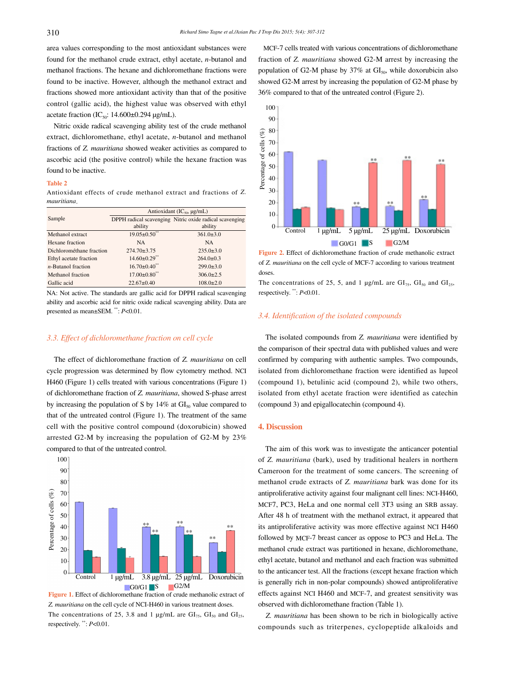area values corresponding to the most antioxidant substances were found for the methanol crude extract, ethyl acetate, *n*-butanol and methanol fractions. The hexane and dichloromethane fractions were found to be inactive. However, although the methanol extract and fractions showed more antioxidant activity than that of the positive control (gallic acid), the highest value was observed with ethyl acetate fraction (IC<sub>50</sub>: 14.600 $\pm$ 0.294 µg/mL).

 Nitric oxide radical scavenging ability test of the crude methanol extract, dichloromethane, ethyl acetate, *n*-butanol and methanol fractions of *Z. mauritiana* showed weaker activities as compared to ascorbic acid (the positive control) while the hexane fraction was found to be inactive.

### **Table 2**

Antioxidant effects of crude methanol extract and fractions of *Z. mauritiana*.

|                          | Antioxidant $(IC_{50}, \mu g/mL)$ |                                                         |  |  |
|--------------------------|-----------------------------------|---------------------------------------------------------|--|--|
| Sample                   |                                   | DPPH radical scavenging Nitric oxide radical scavenging |  |  |
|                          | ability                           | ability                                                 |  |  |
| Methanol extract         | $19.05 \pm 0.50$                  | $361.0 \pm 3.0$                                         |  |  |
| Hexane fraction          | <b>NA</b>                         | <b>NA</b>                                               |  |  |
| Dichlorométhane fraction | $274.70 \pm 3.75$                 | $235.0 \pm 3.0$                                         |  |  |
| Ethyl acetate fraction   | $14.60 \pm 0.29$ **               | $264.0 \pm 0.3$                                         |  |  |
| $n$ -Butanol fraction    | $16.70 \pm 0.40$ <sup>**</sup>    | $299.0 \pm 3.0$                                         |  |  |
| Methanol fraction        | $17.00 \pm 0.80$ <sup>**</sup>    | $306.0 \pm 2.5$                                         |  |  |
| Gallic acid              | $22.67 \pm 0.40$                  | $108.0 \pm 2.0$                                         |  |  |

NA: Not active. The standards are gallic acid for DPPH radical scavenging ability and ascorbic acid for nitric oxide radical scavenging ability. Data are presented as mean±SEM. \*\*: *P*<0.01.

# *3.3. Effect of dichloromethane fraction on cell cycle*

 The effect of dichloromethane fraction of *Z. mauritiana* on cell cycle progression was determined by flow cytometry method. NCI H460 (Figure 1) cells treated with various concentrations (Figure 1) of dichloromethane fraction of *Z. mauritiana*, showed S-phase arrest by increasing the population of S by  $14\%$  at  $GI<sub>50</sub>$  value compared to that of the untreated control (Figure 1). The treatment of the same cell with the positive control compound (doxorubicin) showed arrested G2-M by increasing the population of G2-M by 23% compared to that of the untreated control.



**Figure 1.** Effect of dichloromethane fraction of crude methanolic extract of *Z. mauritiana* on the cell cycle of NCI-H460 in various treatment doses. The concentrations of 25, 3.8 and 1  $\mu$ g/mL are GI<sub>75</sub>, GI<sub>50</sub> and GI<sub>25</sub>, respectively. \*\*: *P*<0.01.

 MCF-7 cells treated with various concentrations of dichloromethane fraction of *Z. mauritiana* showed G2-M arrest by increasing the population of G2-M phase by  $37\%$  at  $GI<sub>50</sub>$ , while doxorubicin also showed G2-M arrest by increasing the population of G2-M phase by 36% compared to that of the untreated control (Figure 2).



**Figure 2.** Effect of dichloromethane fraction of crude methanolic extract of *Z. mauritiana* on the cell cycle of MCF-7 according to various treatment doses.

The concentrations of 25, 5, and 1  $\mu$ g/mL are GI<sub>75</sub>, GI<sub>50</sub> and GI<sub>25</sub>, respectively. \*\*: *P*<0.01.

# *3.4. Identification of the isolated compounds*

 The isolated compounds from *Z. mauritiana* were identified by the comparison of their spectral data with published values and were confirmed by comparing with authentic samples. Two compounds, isolated from dichloromethane fraction were identified as lupeol (compound 1), betulinic acid (compound 2), while two others, isolated from ethyl acetate fraction were identified as catechin (compound 3) and epigallocatechin (compound 4).

# **4. Discussion**

 The aim of this work was to investigate the anticancer potential of *Z. mauritiana* (bark), used by traditional healers in northern Cameroon for the treatment of some cancers. The screening of methanol crude extracts of *Z. mauritiana* bark was done for its antiproliferative activity against four malignant cell lines: NCI-H460, MCF7, PC3, HeLa and one normal cell 3T3 using an SRB assay. After 48 h of treatment with the methanol extract, it appeared that its antiproliferative activity was more effective against NCI H460 followed by MCF-7 breast cancer as oppose to PC3 and HeLa. The methanol crude extract was partitioned in hexane, dichloromethane, ethyl acetate, butanol and methanol and each fraction was submitted to the anticancer test. All the fractions (except hexane fraction which is generally rich in non-polar compounds) showed antiproliferative effects against NCI H460 and MCF-7, and greatest sensitivity was observed with dichloromethane fraction (Table 1).

 *Z. mauritiana* has been shown to be rich in biologically active compounds such as triterpenes, cyclopeptide alkaloids and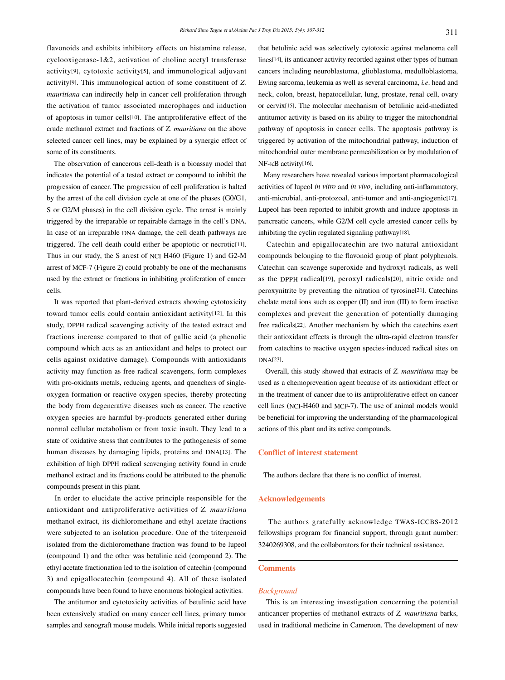flavonoids and exhibits inhibitory effects on histamine release, cyclooxigenase-1&2, activation of choline acetyl transferase activity[9], cytotoxic activity[5], and immunological adjuvant activity[9]. This immunological action of some constituent of *Z. mauritiana* can indirectly help in cancer cell proliferation through the activation of tumor associated macrophages and induction of apoptosis in tumor cells[10]. The antiproliferative effect of the crude methanol extract and fractions of *Z. mauritiana* on the above selected cancer cell lines, may be explained by a synergic effect of some of its constituents.

 The observation of cancerous cell-death is a bioassay model that indicates the potential of a tested extract or compound to inhibit the progression of cancer. The progression of cell proliferation is halted by the arrest of the cell division cycle at one of the phases (G0/G1, S or G2/M phases) in the cell division cycle. The arrest is mainly triggered by the irreparable or repairable damage in the cell's DNA. In case of an irreparable DNA damage, the cell death pathways are triggered. The cell death could either be apoptotic or necrotic[11]. Thus in our study, the S arrest of NCI H460 (Figure 1) and G2-M arrest of MCF-7 (Figure 2) could probably be one of the mechanisms used by the extract or fractions in inhibiting proliferation of cancer cells.

 It was reported that plant-derived extracts showing cytotoxicity toward tumor cells could contain antioxidant activity[12]. In this study, DPPH radical scavenging activity of the tested extract and fractions increase compared to that of gallic acid (a phenolic compound which acts as an antioxidant and helps to protect our cells against oxidative damage). Compounds with antioxidants activity may function as free radical scavengers, form complexes with pro-oxidants metals, reducing agents, and quenchers of singleoxygen formation or reactive oxygen species, thereby protecting the body from degenerative diseases such as cancer. The reactive oxygen species are harmful by-products generated either during normal cellular metabolism or from toxic insult. They lead to a state of oxidative stress that contributes to the pathogenesis of some human diseases by damaging lipids, proteins and DNA[13]. The exhibition of high DPPH radical scavenging activity found in crude methanol extract and its fractions could be attributed to the phenolic compounds present in this plant.

 In order to elucidate the active principle responsible for the antioxidant and antiproliferative activities of *Z. mauritiana* methanol extract, its dichloromethane and ethyl acetate fractions were subjected to an isolation procedure. One of the triterpenoid isolated from the dichloromethane fraction was found to be lupeol (compound 1) and the other was betulinic acid (compound 2). The ethyl acetate fractionation led to the isolation of catechin (compound 3) and epigallocatechin (compound 4). All of these isolated compounds have been found to have enormous biological activities.

 The antitumor and cytotoxicity activities of betulinic acid have been extensively studied on many cancer cell lines, primary tumor samples and xenograft mouse models. While initial reports suggested that betulinic acid was selectively cytotoxic against melanoma cell lines[14], its anticancer activity recorded against other types of human cancers including neuroblastoma, glioblastoma, medulloblastoma, Ewing sarcoma, leukemia as well as several carcinoma, *i.e*. head and neck, colon, breast, hepatocellular, lung, prostate, renal cell, ovary or cervix[15]. The molecular mechanism of betulinic acid-mediated antitumor activity is based on its ability to trigger the mitochondrial pathway of apoptosis in cancer cells. The apoptosis pathway is triggered by activation of the mitochondrial pathway, induction of mitochondrial outer membrane permeabilization or by modulation of NF-κB activity[16].

 Many researchers have revealed various important pharmacological activities of lupeol *in vitro* and *in vivo*, including anti-inflammatory, anti-microbial, anti-protozoal, anti-tumor and anti-angiogenic[17]. Lupeol has been reported to inhibit growth and induce apoptosis in pancreatic cancers, while G2/M cell cycle arrested cancer cells by inhibiting the cyclin regulated signaling pathway[18].

 Catechin and epigallocatechin are two natural antioxidant compounds belonging to the flavonoid group of plant polyphenols. Catechin can scavenge superoxide and hydroxyl radicals, as well as the DPPH radical[19], peroxyl radicals[20], nitric oxide and peroxynitrite by preventing the nitration of tyrosine[21]. Catechins chelate metal ions such as copper (II) and iron (III) to form inactive complexes and prevent the generation of potentially damaging free radicals[22]. Another mechanism by which the catechins exert their antioxidant effects is through the ultra-rapid electron transfer from catechins to reactive oxygen species-induced radical sites on DNA[23].

 Overall, this study showed that extracts of *Z. mauritiana* may be used as a chemoprevention agent because of its antioxidant effect or in the treatment of cancer due to its antiproliferative effect on cancer cell lines (NCI-H460 and MCF-7). The use of animal models would be beneficial for improving the understanding of the pharmacological actions of this plant and its active compounds.

# **Conflict of interest statement**

The authors declare that there is no conflict of interest.

### **Acknowledgements**

 The authors gratefully acknowledge TWAS-ICCBS-2012 fellowships program for financial support, through grant number: 3240269308, and the collaborators for their technical assistance.

# **Comments**

### *Background*

 This is an interesting investigation concerning the potential anticancer properties of methanol extracts of *Z. mauritiana* barks, used in traditional medicine in Cameroon. The development of new